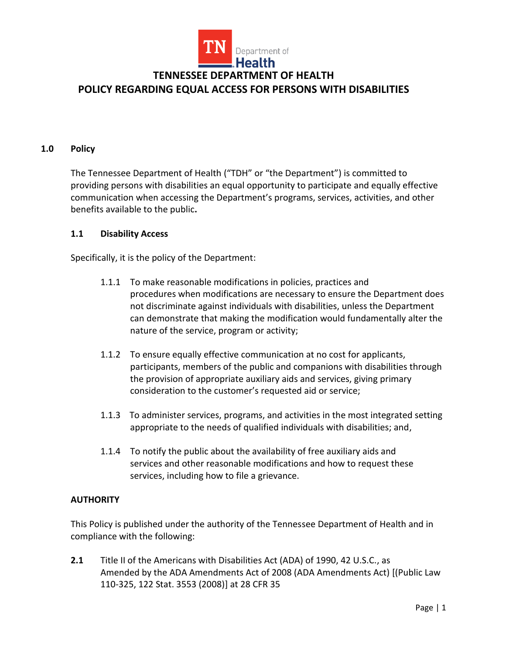

**POLICY REGARDING EQUAL ACCESS FOR PERSONS WITH DISABILITIES**

#### **1.0 Policy**

The Tennessee Department of Health ("TDH" or "the Department") is committed to providing persons with disabilities an equal opportunity to participate and equally effective communication when accessing the Department's programs, services, activities, and other benefits available to the public**.** 

#### **1.1 Disability Access**

Specifically, it is the policy of the Department:

- 1.1.1 To make reasonable modifications in policies, practices and procedures when modifications are necessary to ensure the Department does not discriminate against individuals with disabilities, unless the Department can demonstrate that making the modification would fundamentally alter the nature of the service, program or activity;
- 1.1.2 To ensure equally effective communication at no cost for applicants, participants, members of the public and companions with disabilities through the provision of appropriate auxiliary aids and services, giving primary consideration to the customer's requested aid or service;
- 1.1.3 To administer services, programs, and activities in the most integrated setting appropriate to the needs of qualified individuals with disabilities; and,
- 1.1.4 To notify the public about the availability of free auxiliary aids and services and other reasonable modifications and how to request these services, including how to file a grievance.

### **AUTHORITY**

This Policy is published under the authority of the Tennessee Department of Health and in compliance with the following:

**2.1** Title II of the Americans with Disabilities Act (ADA) of 1990, 42 U.S.C., as Amended by the ADA Amendments Act of 2008 (ADA Amendments Act) [(Public Law 110-325, 122 Stat. 3553 (2008)] at 28 CFR 35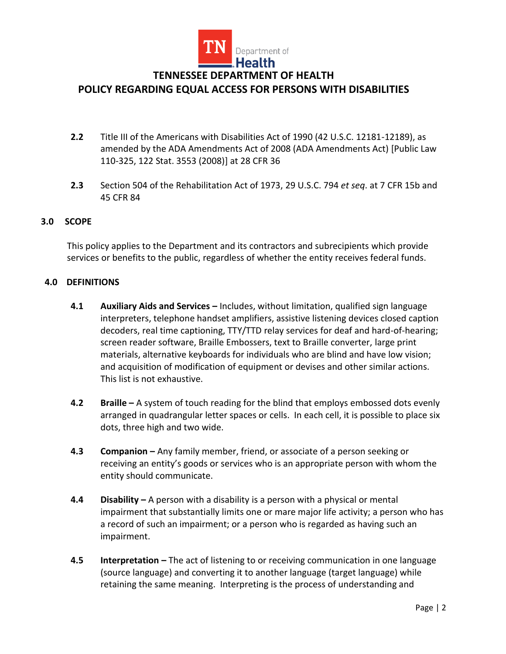

### **POLICY REGARDING EQUAL ACCESS FOR PERSONS WITH DISABILITIES**

- **2.2** Title III of the Americans with Disabilities Act of 1990 (42 U.S.C. 12181-12189), as amended by the ADA Amendments Act of 2008 (ADA Amendments Act) [Public Law 110-325, 122 Stat. 3553 (2008)] at 28 CFR 36
- **2.3** Section 504 of the Rehabilitation Act of 1973, 29 U.S.C. 794 *et seq*. at 7 CFR 15b and 45 CFR 84

#### **3.0 SCOPE**

This policy applies to the Department and its contractors and subrecipients which provide services or benefits to the public, regardless of whether the entity receives federal funds.

#### **4.0 DEFINITIONS**

- **4.1 Auxiliary Aids and Services –** Includes, without limitation, qualified sign language interpreters, telephone handset amplifiers, assistive listening devices closed caption decoders, real time captioning, TTY/TTD relay services for deaf and hard-of-hearing; screen reader software, Braille Embossers, text to Braille converter, large print materials, alternative keyboards for individuals who are blind and have low vision; and acquisition of modification of equipment or devises and other similar actions. This list is not exhaustive.
- **4.2 Braille –** A system of touch reading for the blind that employs embossed dots evenly arranged in quadrangular letter spaces or cells. In each cell, it is possible to place six dots, three high and two wide.
- **4.3 Companion –** Any family member, friend, or associate of a person seeking or receiving an entity's goods or services who is an appropriate person with whom the entity should communicate.
- **4.4 Disability –** A person with a disability is a person with a physical or mental impairment that substantially limits one or mare major life activity; a person who has a record of such an impairment; or a person who is regarded as having such an impairment.
- **4.5 Interpretation –** The act of listening to or receiving communication in one language (source language) and converting it to another language (target language) while retaining the same meaning. Interpreting is the process of understanding and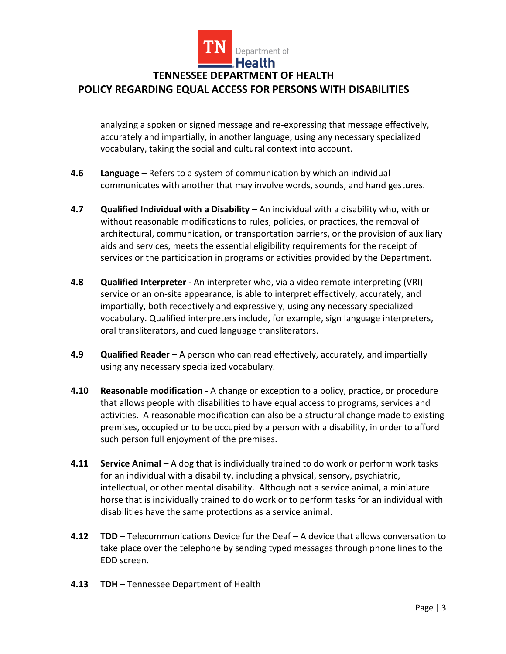

analyzing a spoken or signed message and re-expressing that message effectively, accurately and impartially, in another language, using any necessary specialized vocabulary, taking the social and cultural context into account.

- **4.6 Language –** Refers to a system of communication by which an individual communicates with another that may involve words, sounds, and hand gestures.
- **4.7 Qualified Individual with a Disability –** An individual with a disability who, with or without reasonable modifications to rules, policies, or practices, the removal of architectural, communication, or transportation barriers, or the provision of auxiliary aids and services, meets the essential eligibility requirements for the receipt of services or the participation in programs or activities provided by the Department.
- **4.8 Qualified Interpreter** An interpreter who, via a [video remote interpreting \(VRI\)](https://www.law.cornell.edu/definitions/index.php?width=840&height=800&iframe=true&def_id=c4f1d403e15298ea7ec58a2e5d4c3e2e&term_occur=999&term_src=Title:28:Chapter:I:Part:35:Subpart:A:35.104)  [service](https://www.law.cornell.edu/definitions/index.php?width=840&height=800&iframe=true&def_id=c4f1d403e15298ea7ec58a2e5d4c3e2e&term_occur=999&term_src=Title:28:Chapter:I:Part:35:Subpart:A:35.104) or an on-site appearance, is able to interpret effectively, accurately, and impartially, [both](https://www.law.cornell.edu/definitions/index.php?width=840&height=800&iframe=true&def_id=4d44084f7e758c5dcacfaa34cd5e5bd8&term_occur=999&term_src=Title:28:Chapter:I:Part:35:Subpart:A:35.104) receptively and expressively, using any necessary specialized vocabulary. Qualified interpreters include, for example, sign language interpreters, oral transliterators, and cued language transliterators.
- **4.9 Qualified Reader –** A person who can read effectively, accurately, and impartially using any necessary specialized vocabulary.
- **4.10 Reasonable modification** A change or exception to a policy, practice, or procedure that allows people with disabilities to have equal access to programs, services and activities. A reasonable modification can also be a structural change made to existing premises, occupied or to be occupied by a person with a disability, in order to afford such person full enjoyment of the premises.
- **4.11 Service Animal –** A dog that is individually trained to do work or perform work tasks for an individual with a disability, including a physical, sensory, psychiatric, intellectual, or other mental [disability.](https://www.law.cornell.edu/definitions/index.php?width=840&height=800&iframe=true&def_id=dfb9ee8c3212e70b510fbef55904881e&term_occur=999&term_src=Title:28:Chapter:I:Part:35:Subpart:A:35.104) Although not a service animal, a miniature horse that is individually trained to do work or to perform tasks for an individual with disabilities have the same protections as a service animal.
- **4.12 TDD –** Telecommunications Device for the Deaf A device that allows conversation to take place over the telephone by sending typed messages through phone lines to the EDD screen.
- **4.13 TDH** Tennessee Department of Health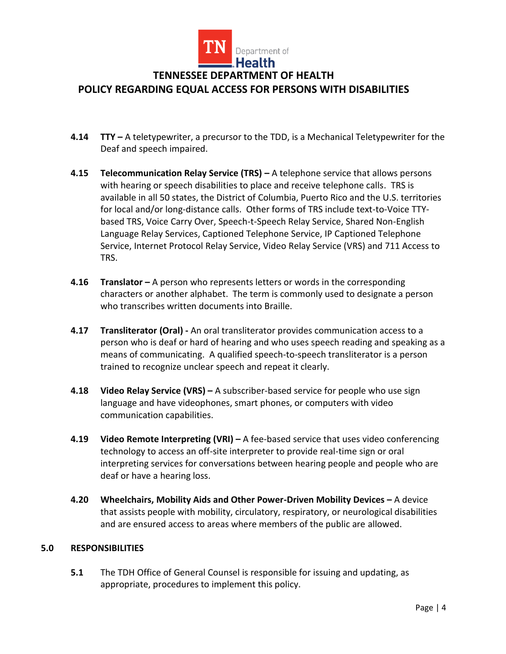

**POLICY REGARDING EQUAL ACCESS FOR PERSONS WITH DISABILITIES**

- **4.14 TTY –** A teletypewriter, a precursor to the TDD, is a Mechanical Teletypewriter for the Deaf and speech impaired.
- **4.15 Telecommunication Relay Service (TRS) –** A telephone service that allows persons with hearing or speech disabilities to place and receive telephone calls. TRS is available in all 50 states, the District of Columbia, Puerto Rico and the U.S. territories for local and/or long-distance calls. Other forms of TRS include text-to-Voice TTYbased TRS, Voice Carry Over, Speech-t-Speech Relay Service, Shared Non-English Language Relay Services, Captioned Telephone Service, IP Captioned Telephone Service, Internet Protocol Relay Service, Video Relay Service (VRS) and 711 Access to TRS.
- **4.16 Translator –** A person who represents letters or words in the corresponding characters or another alphabet. The term is commonly used to designate a person who transcribes written documents into Braille.
- **4.17 Transliterator (Oral) -** An oral transliterator provides communication access to a person who is deaf or hard of hearing and who uses speech reading and speaking as a means of communicating. A qualified speech-to-speech transliterator is a person trained to recognize unclear speech and repeat it clearly.
- **4.18 Video Relay Service (VRS) –** A subscriber-based service for people who use sign language and have videophones, smart phones, or computers with video communication capabilities.
- **4.19 Video Remote Interpreting (VRI) –** A fee-based service that uses video conferencing technology to access an off-site interpreter to provide real-time sign or oral interpreting services for conversations between hearing people and people who are deaf or have a hearing loss.
- **4.20 Wheelchairs, Mobility Aids and Other Power-Driven Mobility Devices –** A device that assists people with mobility, circulatory, respiratory, or neurological disabilities and are ensured access to areas where members of the public are allowed.

#### **5.0 RESPONSIBILITIES**

**5.1** The TDH Office of General Counsel is responsible for issuing and updating, as appropriate, procedures to implement this policy.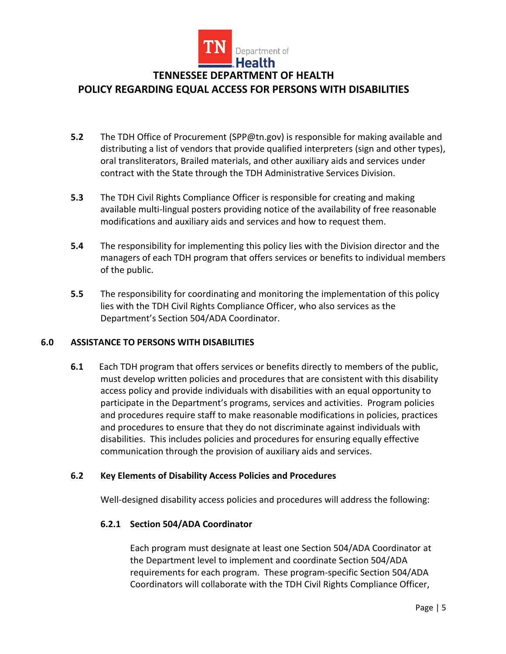

### **POLICY REGARDING EQUAL ACCESS FOR PERSONS WITH DISABILITIES**

- **5.2** The TDH Office of Procurement (SPP@tn.gov) is responsible for making available and distributing a list of vendors that provide qualified interpreters (sign and other types), oral transliterators, Brailed materials, and other auxiliary aids and services under contract with the State through the TDH Administrative Services Division.
- **5.3** The TDH Civil Rights Compliance Officer is responsible for creating and making available multi-lingual posters providing notice of the availability of free reasonable modifications and auxiliary aids and services and how to request them.
- **5.4** The responsibility for implementing this policy lies with the Division director and the managers of each TDH program that offers services or benefits to individual members of the public.
- **5.5** The responsibility for coordinating and monitoring the implementation of this policy lies with the TDH Civil Rights Compliance Officer, who also services as the Department's Section 504/ADA Coordinator.

#### **6.0 ASSISTANCE TO PERSONS WITH DISABILITIES**

**6.1** Each TDH program that offers services or benefits directly to members of the public, must develop written policies and procedures that are consistent with this disability access policy and provide individuals with disabilities with an equal opportunity to participate in the Department's programs, services and activities. Program policies and procedures require staff to make reasonable modifications in policies, practices and procedures to ensure that they do not discriminate against individuals with disabilities. This includes policies and procedures for ensuring equally effective communication through the provision of auxiliary aids and services.

#### **6.2 Key Elements of Disability Access Policies and Procedures**

Well-designed disability access policies and procedures will address the following:

#### **6.2.1 Section 504/ADA Coordinator**

Each program must designate at least one Section 504/ADA Coordinator at the Department level to implement and coordinate Section 504/ADA requirements for each program. These program-specific Section 504/ADA Coordinators will collaborate with the TDH Civil Rights Compliance Officer,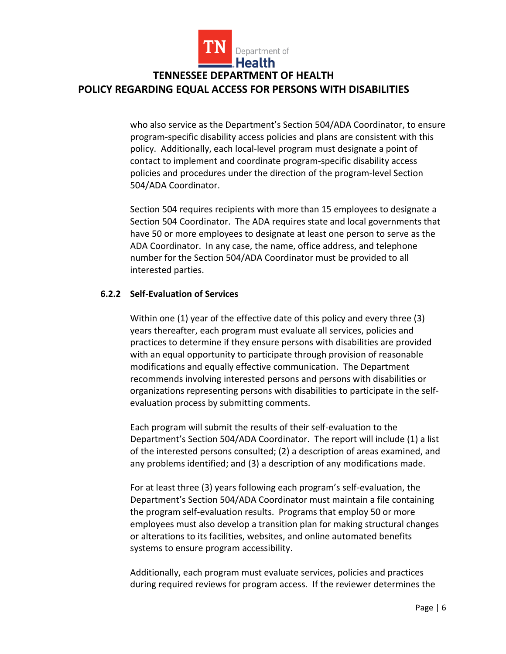

who also service as the Department's Section 504/ADA Coordinator, to ensure program-specific disability access policies and plans are consistent with this policy. Additionally, each local-level program must designate a point of contact to implement and coordinate program-specific disability access policies and procedures under the direction of the program-level Section 504/ADA Coordinator.

Section 504 requires recipients with more than 15 employees to designate a Section 504 Coordinator. The ADA requires state and local governments that have 50 or more employees to designate at least one person to serve as the ADA Coordinator. In any case, the name, office address, and telephone number for the Section 504/ADA Coordinator must be provided to all interested parties.

#### **6.2.2 Self-Evaluation of Services**

Within one (1) year of the effective date of this policy and every three (3) years thereafter, each program must evaluate all services, policies and practices to determine if they ensure persons with disabilities are provided with an equal opportunity to participate through provision of reasonable modifications and equally effective communication. The Department recommends involving interested persons and persons with disabilities or organizations representing persons with disabilities to participate in the selfevaluation process by submitting comments.

Each program will submit the results of their self-evaluation to the Department's Section 504/ADA Coordinator. The report will include (1) a list of the interested persons consulted; (2) a description of areas examined, and any problems identified; and (3) a description of any modifications made.

For at least three (3) years following each program's self-evaluation, the Department's Section 504/ADA Coordinator must maintain a file containing the program self-evaluation results. Programs that employ 50 or more employees must also develop a transition plan for making structural changes or alterations to its facilities, websites, and online automated benefits systems to ensure program accessibility.

Additionally, each program must evaluate services, policies and practices during required reviews for program access. If the reviewer determines the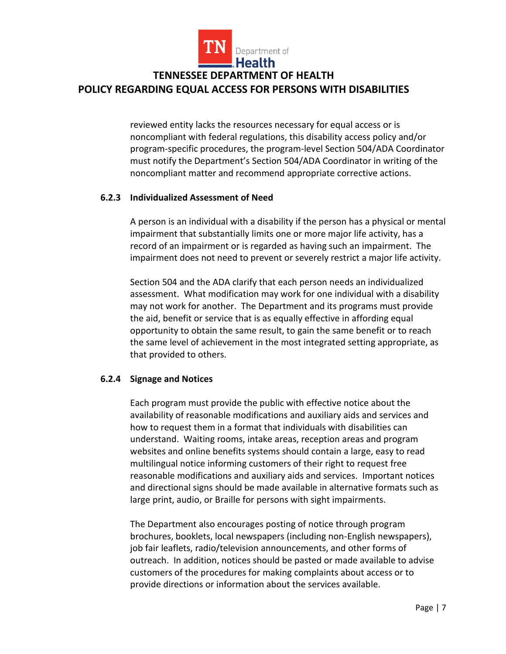

reviewed entity lacks the resources necessary for equal access or is noncompliant with federal regulations, this disability access policy and/or program-specific procedures, the program-level Section 504/ADA Coordinator must notify the Department's Section 504/ADA Coordinator in writing of the noncompliant matter and recommend appropriate corrective actions.

#### **6.2.3 Individualized Assessment of Need**

A person is an individual with a disability if the person has a physical or mental impairment that substantially limits one or more major life activity, has a record of an impairment or is regarded as having such an impairment. The impairment does not need to prevent or severely restrict a major life activity.

Section 504 and the ADA clarify that each person needs an individualized assessment. What modification may work for one individual with a disability may not work for another. The Department and its programs must provide the aid, benefit or service that is as equally effective in affording equal opportunity to obtain the same result, to gain the same benefit or to reach the same level of achievement in the most integrated setting appropriate, as that provided to others.

### **6.2.4 Signage and Notices**

Each program must provide the public with effective notice about the availability of reasonable modifications and auxiliary aids and services and how to request them in a format that individuals with disabilities can understand. Waiting rooms, intake areas, reception areas and program websites and online benefits systems should contain a large, easy to read multilingual notice informing customers of their right to request free reasonable modifications and auxiliary aids and services. Important notices and directional signs should be made available in alternative formats such as large print, audio, or Braille for persons with sight impairments.

The Department also encourages posting of notice through program brochures, booklets, local newspapers (including non-English newspapers), job fair leaflets, radio/television announcements, and other forms of outreach. In addition, notices should be pasted or made available to advise customers of the procedures for making complaints about access or to provide directions or information about the services available.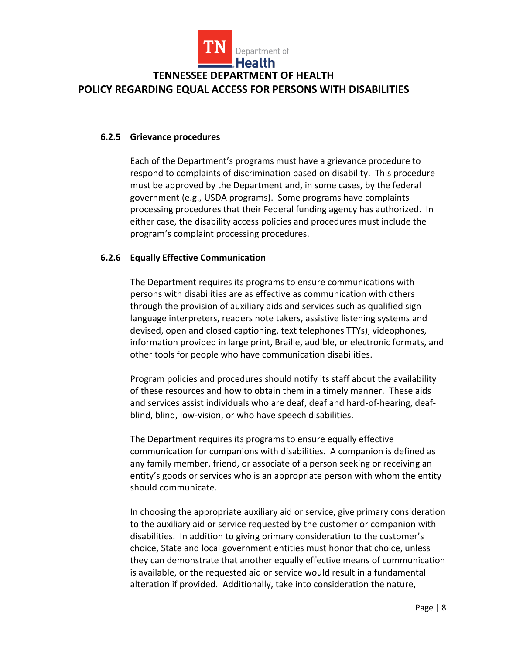

#### **6.2.5 Grievance procedures**

Each of the Department's programs must have a grievance procedure to respond to complaints of discrimination based on disability. This procedure must be approved by the Department and, in some cases, by the federal government (e.g., USDA programs). Some programs have complaints processing procedures that their Federal funding agency has authorized. In either case, the disability access policies and procedures must include the program's complaint processing procedures.

#### **6.2.6 Equally Effective Communication**

The Department requires its programs to ensure communications with persons with disabilities are as effective as communication with others through the provision of auxiliary aids and services such as qualified sign language interpreters, readers note takers, assistive listening systems and devised, open and closed captioning, text telephones TTYs), videophones, information provided in large print, Braille, audible, or electronic formats, and other tools for people who have communication disabilities.

Program policies and procedures should notify its staff about the availability of these resources and how to obtain them in a timely manner. These aids and services assist individuals who are deaf, deaf and hard-of-hearing, deafblind, blind, low-vision, or who have speech disabilities.

The Department requires its programs to ensure equally effective communication for companions with disabilities. A companion is defined as any family member, friend, or associate of a person seeking or receiving an entity's goods or services who is an appropriate person with whom the entity should communicate.

In choosing the appropriate auxiliary aid or service, give primary consideration to the auxiliary aid or service requested by the customer or companion with disabilities. In addition to giving primary consideration to the customer's choice, State and local government entities must honor that choice, unless they can demonstrate that another equally effective means of communication is available, or the requested aid or service would result in a fundamental alteration if provided. Additionally, take into consideration the nature,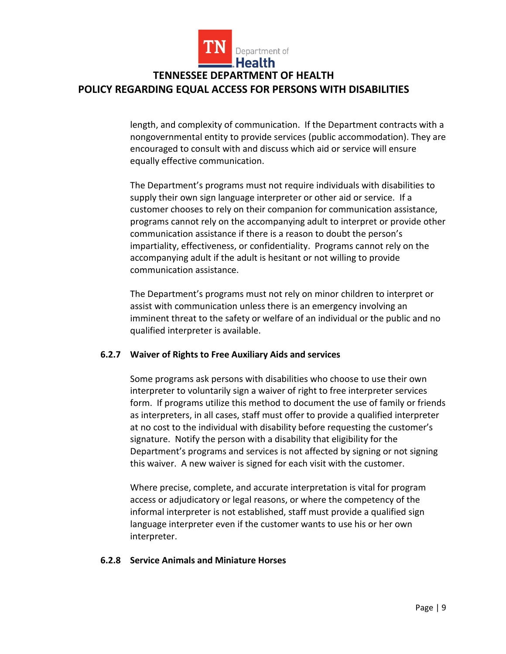

length, and complexity of communication. If the Department contracts with a nongovernmental entity to provide services (public accommodation). They are encouraged to consult with and discuss which aid or service will ensure equally effective communication.

The Department's programs must not require individuals with disabilities to supply their own sign language interpreter or other aid or service. If a customer chooses to rely on their companion for communication assistance, programs cannot rely on the accompanying adult to interpret or provide other communication assistance if there is a reason to doubt the person's impartiality, effectiveness, or confidentiality. Programs cannot rely on the accompanying adult if the adult is hesitant or not willing to provide communication assistance.

The Department's programs must not rely on minor children to interpret or assist with communication unless there is an emergency involving an imminent threat to the safety or welfare of an individual or the public and no qualified interpreter is available.

#### **6.2.7 Waiver of Rights to Free Auxiliary Aids and services**

Some programs ask persons with disabilities who choose to use their own interpreter to voluntarily sign a waiver of right to free interpreter services form. If programs utilize this method to document the use of family or friends as interpreters, in all cases, staff must offer to provide a qualified interpreter at no cost to the individual with disability before requesting the customer's signature. Notify the person with a disability that eligibility for the Department's programs and services is not affected by signing or not signing this waiver. A new waiver is signed for each visit with the customer.

Where precise, complete, and accurate interpretation is vital for program access or adjudicatory or legal reasons, or where the competency of the informal interpreter is not established, staff must provide a qualified sign language interpreter even if the customer wants to use his or her own interpreter.

#### **6.2.8 Service Animals and Miniature Horses**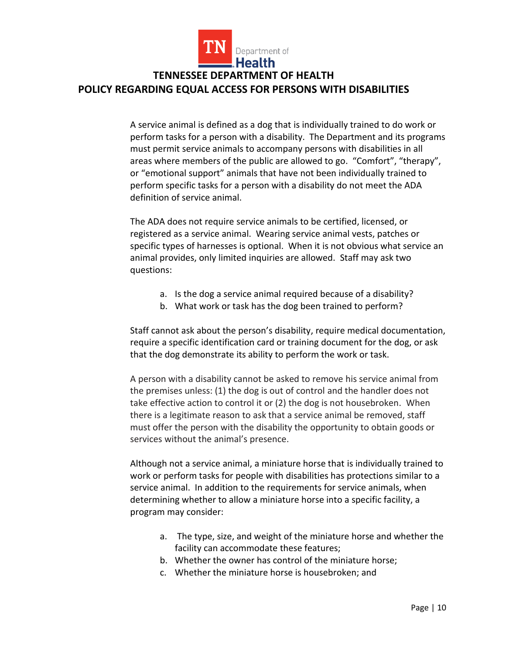

A service animal is defined as a dog that is individually trained to do work or perform tasks for a person with a disability. The Department and its programs must permit service animals to accompany persons with disabilities in all areas where members of the public are allowed to go. "Comfort", "therapy", or "emotional support" animals that have not been individually trained to perform specific tasks for a person with a disability do not meet the ADA definition of service animal.

The ADA does not require service animals to be certified, licensed, or registered as a service animal. Wearing service animal vests, patches or specific types of harnesses is optional. When it is not obvious what service an animal provides, only limited inquiries are allowed. Staff may ask two questions:

- a. Is the dog a service animal required because of a disability?
- b. What work or task has the dog been trained to perform?

Staff cannot ask about the person's disability, require medical documentation, require a specific identification card or training document for the dog, or ask that the dog demonstrate its ability to perform the work or task.

A person with a disability cannot be asked to remove his service animal from the premises unless: (1) the dog is out of control and the handler does not take effective action to control it or (2) the dog is not housebroken. When there is a legitimate reason to ask that a service animal be removed, staff must offer the person with the disability the opportunity to obtain goods or services without the animal's presence.

Although not a service animal, a miniature horse that is individually trained to work or perform tasks for people with disabilities has protections similar to a service animal. In addition to the requirements for service animals, when determining whether to allow a miniature horse into a specific facility, a program may consider:

- a. The type, size, and weight of the miniature horse and whether the facility can accommodate these features;
- b. Whether the owner has control of the miniature horse;
- c. Whether the miniature horse is housebroken; and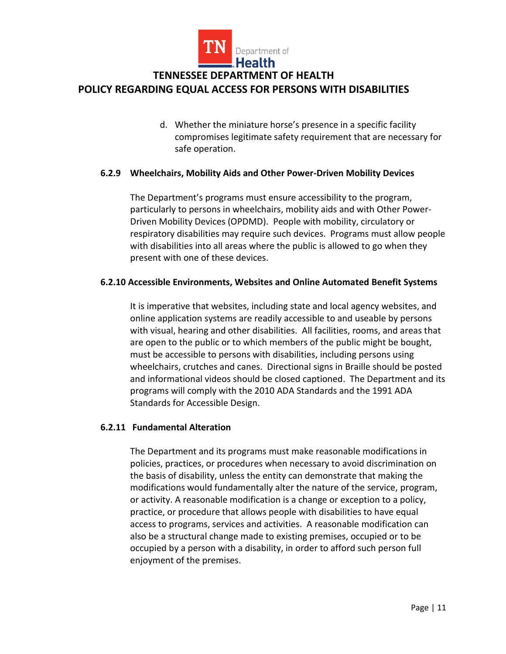

d. Whether the miniature horse's presence in a specific facility compromises legitimate safety requirement that are necessary for safe operation.

### **6.2.9 Wheelchairs, Mobility Aids and Other Power-Driven Mobility Devices**

The Department's programs must ensure accessibility to the program, particularly to persons in wheelchairs, mobility aids and with Other Power-Driven Mobility Devices (OPDMD). People with mobility, circulatory or respiratory disabilities may require such devices. Programs must allow people with disabilities into all areas where the public is allowed to go when they present with one of these devices.

#### **6.2.10 Accessible Environments, Websites and Online Automated Benefit Systems**

It is imperative that websites, including state and local agency websites, and online application systems are readily accessible to and useable by persons with visual, hearing and other disabilities. All facilities, rooms, and areas that are open to the public or to which members of the public might be bought, must be accessible to persons with disabilities, including persons using wheelchairs, crutches and canes. Directional signs in Braille should be posted and informational videos should be closed captioned. The Department and its programs will comply with the 2010 ADA Standards and the 1991 ADA Standards for Accessible Design.

### **6.2.11 Fundamental Alteration**

The Department and its programs must make reasonable modifications in policies, practices, or procedures when necessary to avoid discrimination on the basis of disability, unless the entity can demonstrate that making the modifications would fundamentally alter the nature of the service, program, or activity. A reasonable modification is a change or exception to a policy, practice, or procedure that allows people with disabilities to have equal access to programs, services and activities. A reasonable modification can also be a structural change made to existing premises, occupied or to be occupied by a person with a disability, in order to afford such person full enjoyment of the premises.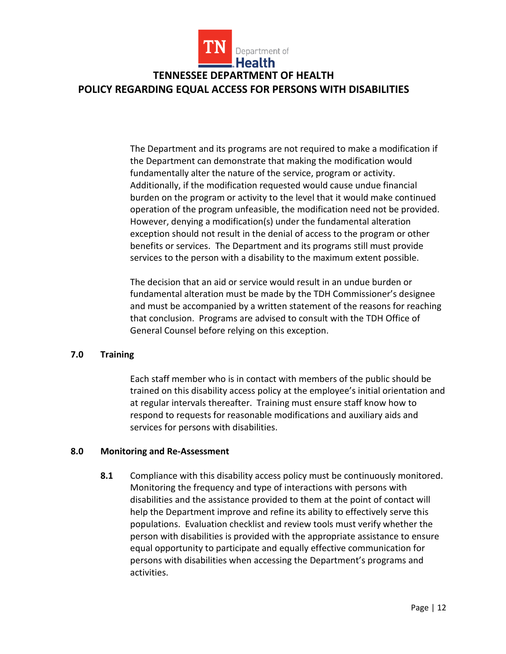

The Department and its programs are not required to make a modification if the Department can demonstrate that making the modification would fundamentally alter the nature of the service, program or activity. Additionally, if the modification requested would cause undue financial burden on the program or activity to the level that it would make continued operation of the program unfeasible, the modification need not be provided. However, denying a modification(s) under the fundamental alteration exception should not result in the denial of access to the program or other benefits or services. The Department and its programs still must provide services to the person with a disability to the maximum extent possible.

The decision that an aid or service would result in an undue burden or fundamental alteration must be made by the TDH Commissioner's designee and must be accompanied by a written statement of the reasons for reaching that conclusion. Programs are advised to consult with the TDH Office of General Counsel before relying on this exception.

### **7.0 Training**

Each staff member who is in contact with members of the public should be trained on this disability access policy at the employee's initial orientation and at regular intervals thereafter. Training must ensure staff know how to respond to requests for reasonable modifications and auxiliary aids and services for persons with disabilities.

#### **8.0 Monitoring and Re-Assessment**

**8.1** Compliance with this disability access policy must be continuously monitored. Monitoring the frequency and type of interactions with persons with disabilities and the assistance provided to them at the point of contact will help the Department improve and refine its ability to effectively serve this populations. Evaluation checklist and review tools must verify whether the person with disabilities is provided with the appropriate assistance to ensure equal opportunity to participate and equally effective communication for persons with disabilities when accessing the Department's programs and activities.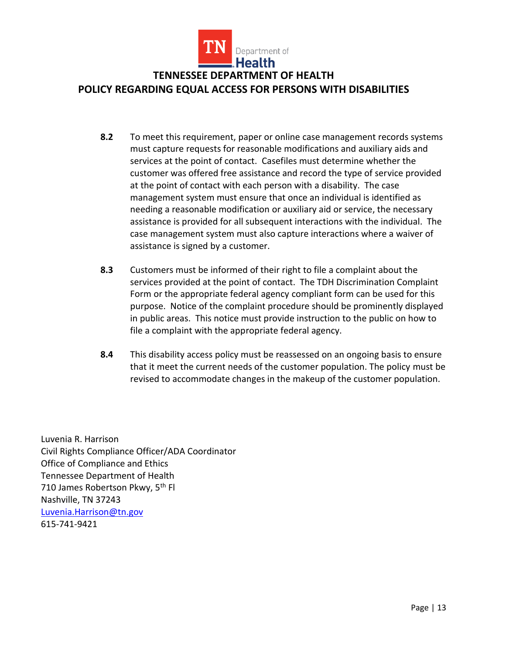

- **8.2** To meet this requirement, paper or online case management records systems must capture requests for reasonable modifications and auxiliary aids and services at the point of contact. Casefiles must determine whether the customer was offered free assistance and record the type of service provided at the point of contact with each person with a disability. The case management system must ensure that once an individual is identified as needing a reasonable modification or auxiliary aid or service, the necessary assistance is provided for all subsequent interactions with the individual. The case management system must also capture interactions where a waiver of assistance is signed by a customer.
- **8.3** Customers must be informed of their right to file a complaint about the services provided at the point of contact. The TDH Discrimination Complaint Form or the appropriate federal agency compliant form can be used for this purpose. Notice of the complaint procedure should be prominently displayed in public areas. This notice must provide instruction to the public on how to file a complaint with the appropriate federal agency.
- **8.4** This disability access policy must be reassessed on an ongoing basis to ensure that it meet the current needs of the customer population. The policy must be revised to accommodate changes in the makeup of the customer population.

Luvenia R. Harrison Civil Rights Compliance Officer/ADA Coordinator Office of Compliance and Ethics Tennessee Department of Health 710 James Robertson Pkwy, 5<sup>th</sup> Fl Nashville, TN 37243 [Luvenia.Harrison@tn.gov](mailto:Luvenia.Harrison@tn.gov) 615-741-9421